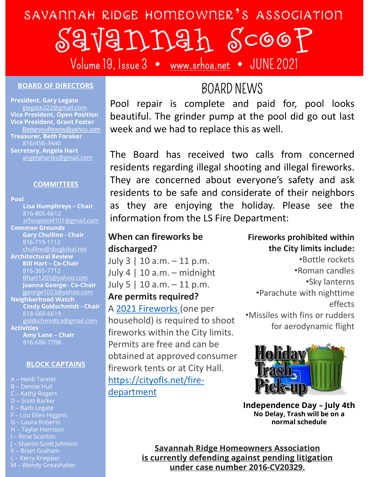# SAVANNAH RIDGE HOMEOWNER 'S ASSOCIATION DOGE HOMEOWNER'S ASSOGIATION<br> **EXECTS ASSOCIATION**<br>
Pool repair is complete and paid for, pool looks<br>
beautiful. The grinder pump at the pool did go out last<br>
week and we had to replace this as well. beautiful. The Board has received two calls from concerned<br>the Board has received two calls from concerned<br>the Board has received two calls from concerned<br>about the grinder pump at the pool did go out last<br>tweek and we had THE MORE TO RESPOND THE READ TO READ THE READ OF THE READ OF THE READ ASSOCIATION BOARD NEWS<br>Pool repair is complete and paid for, pool looks<br>beautiful. The grinder pump at the pool did go out last<br>week and we had to repla GJANAh Scoop

Volume 19, Issue 3 · www.srhoa.net · JUNE 2021

### BOARD OF DIRECTORS

President, Gary Legate **Dool** ronair is co Vice President, Grant Foster<br>Betteryoufitness@yahoo.com Treasurer, Beth Foraker 816/456-3440 angelahartkc@gmail.com

Pool

 $816-805-6612$  :  $\mathbf{f}_{\mathbf{a}}$  for  $\mathbf{f}_{\mathbf{a}}$  and  $\mathbf{f}_{\mathbf{a}}$ Common Grounds 816-719-1112 chullino@sbcglobal.net Architectural Review<br>Bill Hart - Co-Chair<br>816-365-7712<br>Aluly 4 | 10 a m - midnigh Joanna George- Co-Chair<br>jgeorge1023@yahoo.com Neighborhood Watch **Activities** COMMITTEES<br>
Lisa Humphreys - Chair<br>
Side 305-6612<br>
Side 305-6612<br>
Side 305-6612<br>
Side 2010 (equalition<br>
Gary Chullino Chair<br>
Chair (big 2010)<br>
Chair (big 2021 Fire 2021 Fire 2021 Fire 2021 Fire 2021 Fire 2021 Fire 2021 Fir Common Groundsbegled<br>
Architectural Review<br>
Architectural Review<br>
Bill Hart - Co-Chair<br>
Bill Hart - Co-Chair<br>
Bill Hart - Co-Chair<br>
Bill Hart - Co-Chair<br>
Bill Hart - Co-Chair<br>
Bill Hart - Co-Chair<br>
Bill Hart - Co-Chair<br>
Lu Franchise Chain and Chain and Chain and Chain and Chain and Chain and Chain and Chain and Chain and Chain and Chain and Chain and Chain and Chain and Chain and Chain and Chain and Chain and Chain and Chain and Chain and Ch

- 
- 
- 
- 
- 
- 
- 
- 
- 
- 
- 
- 

## BOARD NEWS

glegate222@gmail.com **POOP TUPOIT IS COTTIPICTUM** EVOI TEPAIT IS COMPRETE AND PAIL TO POST UPS SUPPORT OF THE RESIDENCE AND RESIDENCE AND RESIDENCE PRESIDENT OPEN POSITION OF DEALLISTIC week and we had to replace this as well.

Secretary, Angela Hart **The Board has received two calls from concerned COMMITTEES** They are concerned about everyone's safety and ask<br>residents to be safe and considerate of their neighbors Lisa Humphreys – Chair  $\frac{\text{srhoapool4101@gmail.com}}{\text{srhoapool4101@gmail.com}}$  - HIIOHITACION TION LITE LS FITE DEPATUTE Gary Chullino - Chair President, Grant Foster<br>
Betteryoufflness@yahoo.com<br>
Betteryoufflness@yahoo.com<br>
Steryoufflness@yahoo.com<br>
Stery, Angela Hart<br>
Hart exary, Angela Hart<br>
Hart exary, Angela Hart<br>
Hart exary, Angela Hart<br>
Esidents regarding i State of the Co-Chair State of the Co-Chair State of the Co-Chair State of the Co-Chair State of the Co-Chair State of the Co-Chair State of the Co-Chair State of the Co-Chair State of the Co-Chair State of the Co-Chair St **Example an article constrained**<br> **COMMITTEES**<br>
Lisa Humphreys - Chair<br>
Bit is a Humphreys - Chair<br>
Bit is a Humphreys - Chair<br>
Bit is a Humphreys - Chair<br>
State - 20-5-612<br>
State - 20-5-612<br>
Cary Chullino - Chair<br>
Cary Ch The Board is complete and paid for, pool looks<br>Board repair is complete and paid for, pool looks<br>beautiful. The grinder pump at the pool did go out last<br>week and we had to replace this as well.<br>The Board has received two c **Follow The COOP**<br>**Follow SCOOP**<br>*BOARD NEWS*<br>Pool repair is complete and paid for, pool looks<br>beautiful. The grinder pump at the pool did go out last<br>week and we had to replace this as well.<br>The Board has received two cal **Follow Are concerned about everyone's safety and asking the UNE 2021**<br>BOARD NEWS<br>Pool repair is complete and paid for, pool looks<br>beautiful. The grinder pump at the pool did go out last<br>week and we had to replace this as FITTE COLLET THE SUBLEMENT COLLET THE SUBLEMENT COLLET THE SOLUTION BOARD NEWS<br>
Pool repair is complete and paid for, pool looks<br>
beautiful. The grinder pump at the pool did go out last<br>
week and we had to replace this as **as the sum of the sum of the sum of the sum of the sum of the sum of the sum of the search of the set of the holiday.**<br> **as the sum of the set of the set of the set of the see the search we had to replace this as well.**<br> **EXECT FROM SEAL FORTURE SEAL FOR FIRE THE SCAR FOR FIRE THE SCAR FOR FIRE THE BOAT AS FIRE THE BOAT AS FIRE THE BOAT AS FIRE THE BOAT AS FIRE THE BOAT AS FIRE DEPLACEMENT AS THEY ARE CONCEPTED THE DEPARTMENT AND A FIRE DE** beautiful. The grinder pump at the pool did go out last<br>week and we had to replace this as well.<br>The Board has received two calls from concerned<br>residents regarding illegal shooting and illegal fireworks.<br>They are concerne week and we had to replace this as well.<br>
The Board has received two calls from concerned<br>
residents regarding illegal shooting and illegal fireworks.<br>
They are concerned about everyone's safety and ask<br>
residents to be s The Board has received two calls from concerned<br>
residents regarding illegal shooting and illegal fireworks.<br>
They are concerned about everyone's safety and ask<br>
residents to be safe and considerate of their neighbors<br>
as residents regarding illegal shooting and illegal firework<br>
They are concerned about everyone's safety and<br>
residents to be safe and considerate of their neigh<br>
as they are enjoying the holiday. Please see<br>
information from

## When can fireworks be discharged?

July 4 | 10 a.m.  $-$  midnight Bhart1205@yahoo.com<br>Joanna George- Co-Chair July 5 | 10 a.m. - 11 p.m.

### Are permits required?

Cindy Goldschmidt - Chair | A 2021 Fireworks (one per goldschmidtca@gmail.com household) is required to shoot 816-686-7708 **Permits are free and can be** BLOCK CAPTAINS firework tents or at City Hall. Entertainment and the permits required?<br>
Mathimo@sbcglobal.net<br>
Blilinari Co-chair<br>
Blant1205@yahoo.com<br>
Shart1205@yahoo.com<br>
July 3 | 10 a.m. -- 11 p.m.<br>
Shart1205@yahoo.com<br>
July 5 | 10 a.m. -- 11 p.m.<br>
Neighborhood Watc Content Content Content Content Content Content Content Content Content Content Content Content Content Content<br>
Depresent Content Content Content Content Content Content Content Content Content Content Content Content Con Architectural Newlew Weil<br>
Bill Hart - Co-Chair<br>
Bill Hart - Co-Chair<br>
July 3 | 10 a.m. --11 p.m.<br>
July 5 | 10 a.m. --11 p.m.<br>
July 5 | 10 a.m. --11 p.m.<br>
July 5 | 10 a.m. --11 p.m.<br>
July 5 | 10 a.m. --11 p.m.<br>
July 5 | 10 BIH Hart - Co-Chair<br>
Shart 205@yahoo.com<br>
July 4 | 10 a.m. - 11 p.m.<br>
July 5 | 10 a.m. - 11 p.m.<br>
July 5 | 10 a.m. - 11 p.m.<br>
Neighborhood Watch<br>
Cindy Goldschmidt - Chair<br>
Shart 205@yahoo.com<br>
Neighborhood Watch<br>
Cindy Go Bhart1205@yahoo.com<br>
Bhart1205@yahoo.com<br>
July 4 | 10 a.m. — 11 p.m.<br>
Jeanna George- Co-Chair<br>
July 5 | 10 a.m. — 11 p.m.<br>
Neighborhood Watch<br>
Cindy Goldschmidt-Chair<br>
Green Chair<br>
Sheep Co-Gister<br>
Sheep Co-Chair<br>
Sheep Co Hart USearn Contains and Contains and Contains and Contains and Contains and Contains and Contains and Contains and Contains and Contains and Contains and Contains and Contains and Contains and Contains and Contains and Co A division and George-Co-Chair<br>
Signal (Second)<br>
Signal (Second)<br>
Circle of Seconds<br>
California Chair<br>
Signal Comparison and Controller of Seconds<br>
Activities<br>
Activities<br>
Activities<br>
Activities<br>
Activities<br>
Activities<br>
A Solution Scott Barket<br>
Entries Contains and Scotting Contains and Scotting Contains and Scotting Scotting Scotting<br>
Activities<br>
Arrivies and Languagnail.com<br>
Subcised Arrivies<br>
Arrivies are free and Can be<br>
Subcised at app Neighborhood Watch<br>
Cindy Goldschmidt - Chair<br>
Cindy Goldschmidte@gmail.com<br>
goldschmidtea@gmail.com<br>
Accivities<br>
Any Lane - Chair<br>
Si6-686-7708<br>
Accivities<br>
Any Lane - Chair<br>
Si6-686-7708<br>
BLOCK CAPTAINS<br>
Permits are free Contract Charlies (One per and Sabissimum Charlies Contract Charlies Artivities<br>
Activities Any Lane - Chair Fireworks within the City line<br>
Activities Artivities Any Lane - Chair Fireworks within the City line<br>
816-686-77 busholonidital **Accord Capacity Contains and Contains and Contains and Contains and Contains and Contains are free and can be<br>
M Activities<br>
A Heidi Tanner<br>
B – Denise Hull<br>
C – Kathy Rogers<br>
E-Barb Legate<br>
E – Barb Legate** fireworks within the City limits. obtained at approved consumer https://cityofls.net/firedepartment

Fireworks prohibited within the City limits include:

•Bottle rockets<br>•Roman candles<br>•Parachute with nighttime<br>•Parachute with nighttime<br>•Frachute with fins or rudders<br>•Missiles with fins or rudders<br>•Frace of the readynamic flight<br>•**Frace of the parameters**<br>•**Fick=up**<br>•**Rick=** •Bottle rockets •Roman candles •Sky lanterns •Parachute with nighttime effects •Missiles with fins or rudders for aerodynamic flight



No Delay, Trash will be on a normal schedule

Savannah Ridge Homeowners Association is currently defending against pending litigation under case number 2016-CV20329.